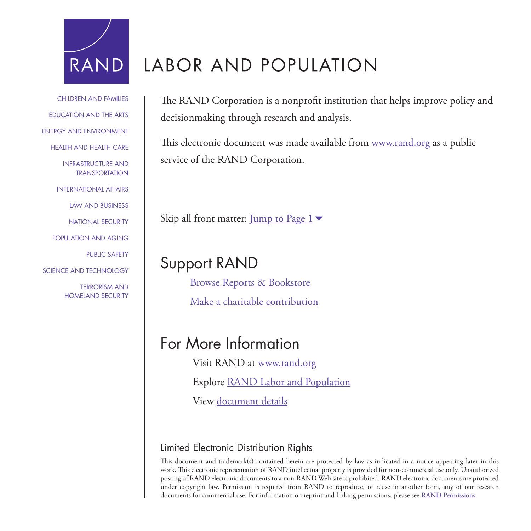

[CHILDREN AND FAMILIES](http://www.rand.org/pdfrd/topics/children-and-families.html)

[EDUCATION AND THE ARTS](http://www.rand.org/pdfrd/topics/education-and-the-arts.html)

[ENERGY AND ENVIRONMENT](http://www.rand.org/pdfrd/topics/energy-and-environment.html)

HEAITH AND HEAITH CARE

[INFRASTRUCTURE AND](http://www.rand.org/pdfrd/topics/infrastructure-and-transportation.html) TRANSPORTATION

[INTERNATIONAL AFFAIRS](http://www.rand.org/pdfrd/topics/international-affairs.html)

[LAW AND BUSINESS](http://www.rand.org/pdfrd/topics/law-and-business.html)

[NATIONAL SECURITY](http://www.rand.org/pdfrd/topics/national-security.html)

[POPULATION AND AGING](http://www.rand.org/pdfrd/topics/population-and-aging.html)

[PUBLIC SAFETY](http://www.rand.org/pdfrd/topics/public-safety.html)

[SCIENCE AND TECHNOLOGY](http://www.rand.org/pdfrd/topics/science-and-technology.html)

TERRORISM AND [HOMELAND SECURITY](http://www.rand.org/pdfrd/topics/terrorism-and-homeland-security.html)

# LABOR AND POPULATION

The RAND Corporation is a nonprofit institution that helps improve policy and decisionmaking through research and analysis.

This electronic document was made available from [www.rand.org](http://www.rand.org/pdfrd/) as a public service of the RAND Corporation.

Skip all front matter: <u>Jump to Page 1</u>

# Support RAND

[Browse Reports & Bookstore](http://www.rand.org/pdfrd/pubs/online/)

[Make a charitable contribution](http://www.rand.org/pdfrd/giving/contribute.html)

# For More Information

Visit RAND at [www.rand.org](http://www.rand.org/pdfrd/)

Explore [RAND Labor and Population](http://www.rand.org/pdfrd/labor/)

View [document details](http://www.rand.org/pdfrd/pubs/corporate_pubs/CP650.html)

# Limited Electronic Distribution Rights

This document and trademark(s) contained herein are protected by law as indicated in a notice appearing later in this work. This electronic representation of RAND intellectual property is provided for non-commercial use only. Unauthorized posting of RAND electronic documents to a non-RAND Web site is prohibited. RAND electronic documents are protected under copyright law. Permission is required from RAND to reproduce, or reuse in another form, any of our research documents for commercial use. For information on reprint and linking permissions, please see [RAND Permissions](http://www.rand.org/pdfrd/publications/permissions.html).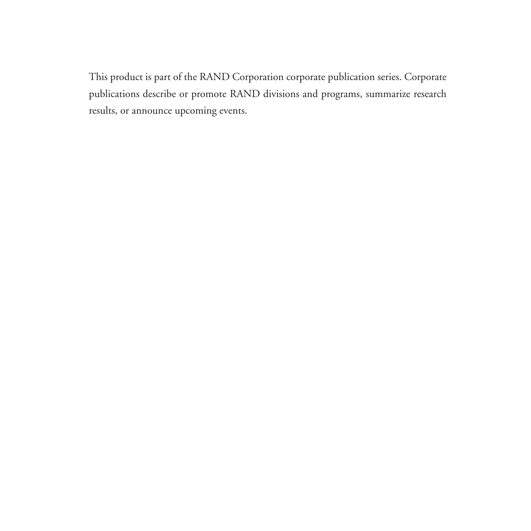This product is part of the RAND Corporation corporate publication series. Corporate publications describe or promote RAND divisions and programs, summarize research results, or announce upcoming events.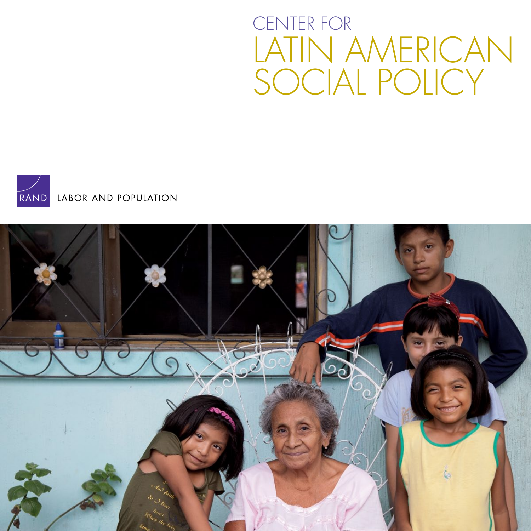# CENTER FOR LATIN AMERICAN SOCIAL POLICY

<span id="page-2-0"></span>

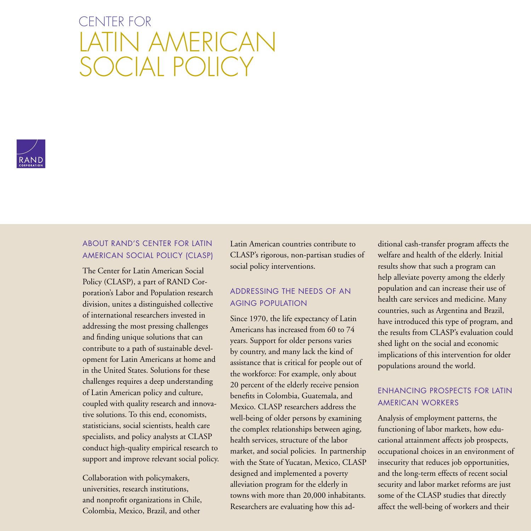# CENTER FOR LATIN AMERICAN SOCIAL POLICY



# ABOUT RAND'S CENTER FOR LATIN AMERICAN SOCIAL POLICY (CLASP)

The Center for Latin American Social Policy (CLASP), a part of RAND Corporation's Labor and Population research division, unites a distinguished collective of international researchers invested in addressing the most pressing challenges and finding unique solutions that can contribute to a path of sustainable development for Latin Americans at home and in the United States. Solutions for these challenges requires a deep understanding of Latin American policy and culture, coupled with quality research and innovative solutions. To this end, economists, statisticians, social scientists, health care specialists, and policy analysts at CLASP conduct high-quality empirical research to support and improve relevant social policy.

Collaboration with policymakers, universities, research institutions, and nonprofit organizations in Chile, Colombia, Mexico, Brazil, and other

Latin American countries contribute to CLASP's rigorous, non-partisan studies of social policy interventions.

# ADDRESSING THE NEEDS OF AN AGING POPULATION

Since 1970, the life expectancy of Latin Americans has increased from 60 to 74 years. Support for older persons varies by country, and many lack the kind of assistance that is critical for people out of the workforce: For example, only about 20 percent of the elderly receive pension benefits in Colombia, Guatemala, and Mexico. CLASP researchers address the well-being of older persons by examining the complex relationships between aging, health services, structure of the labor market, and social policies. In partnership with the State of Yucatan, Mexico, CLASP designed and implemented a poverty alleviation program for the elderly in towns with more than 20,000 inhabitants. Researchers are evaluating how this ad-

ditional cash-transfer program affects the welfare and health of the elderly. Initial results show that such a program can help alleviate poverty among the elderly population and can increase their use of health care services and medicine. Many countries, such as Argentina and Brazil, have introduced this type of program, and the results from CLASP's evaluation could shed light on the social and economic implications of this intervention for older populations around the world.

# ENHANCING PROSPECTS FOR LATIN AMERICAN WORKERS

Analysis of employment patterns, the functioning of labor markets, how educational attainment affects job prospects, occupational choices in an environment of insecurity that reduces job opportunities, and the long-term effects of recent social security and labor market reforms are just some of the CLASP studies that directly affect the well-being of workers and their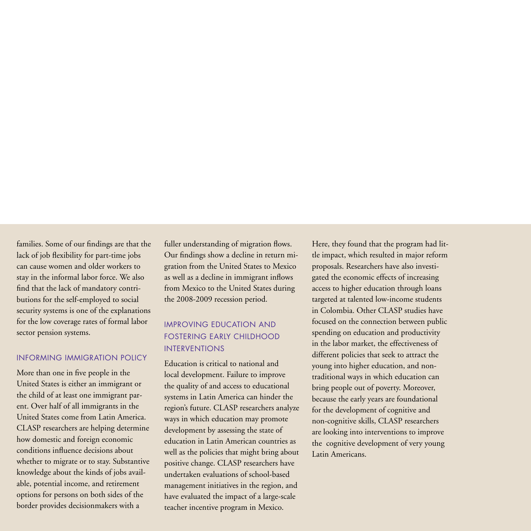families. Some of our findings are that the lack of job flexibility for part-time jobs can cause women and older workers to stay in the informal labor force. We also find that the lack of mandatory contributions for the self-employed to social security systems is one of the explanations for the low coverage rates of formal labor sector pension systems.

## INFORMING IMMIGRATION POLICY

More than one in five people in the United States is either an immigrant or the child of at least one immigrant parent. Over half of all immigrants in the United States come from Latin America. CLASP researchers are helping determine how domestic and foreign economic conditions influence decisions about whether to migrate or to stay. Substantive knowledge about the kinds of jobs available, potential income, and retirement options for persons on both sides of the border provides decisionmakers with a

fuller understanding of migration flows. Our findings show a decline in return migration from the United States to Mexico as well as a decline in immigrant inflows from Mexico to the United States during the 2008-2009 recession period.

# IMPROVING EDUCATION AND FOSTERING EARLY CHILDHOOD INTERVENTIONS

Education is critical to national and local development. Failure to improve the quality of and access to educational systems in Latin America can hinder the region's future. CLASP researchers analyze ways in which education may promote development by assessing the state of education in Latin American countries as well as the policies that might bring about positive change. CLASP researchers have undertaken evaluations of school-based management initiatives in the region, and have evaluated the impact of a large-scale teacher incentive program in Mexico.

Here, they found that the program had little impact, which resulted in major reform proposals. Researchers have also investigated the economic effects of increasing access to higher education through loans targeted at talented low-income students in Colombia. Other CLASP studies have focused on the connection between public spending on education and productivity in the labor market, the effectiveness of different policies that seek to attract the young into higher education, and nontraditional ways in which education can bring people out of poverty. Moreover, because the early years are foundational for the development of cognitive and non-cognitive skills, CLASP researchers are looking into interventions to improve the cognitive development of very young Latin Americans.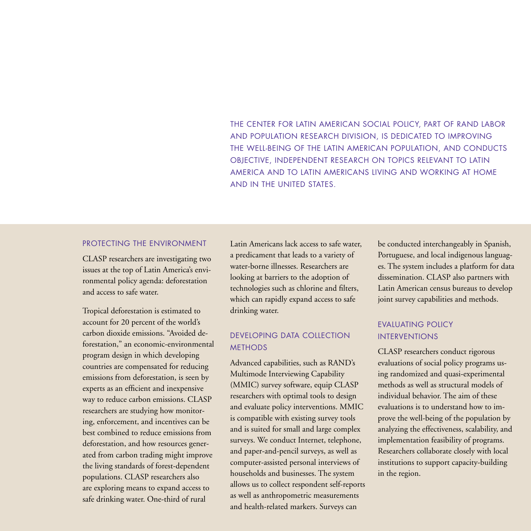THE CENTER FOR LATIN AMERICAN SOCIAL POLICY, PART OF RAND LABOR AND POPULATION RESEARCH DIVISION, IS DEDICATED TO IMPROVING THE WELL-BEING OF THE LATIN AMERICAN POPULATION, AND CONDUCTS OBJECTIVE, INDEPENDENT RESEARCH ON TOPICS RELEVANT TO LATIN AMERICA AND TO LATIN AMERICANS LIVING AND WORKING AT HOME AND IN THE UNITED STATES.

### PROTECTING THE ENVIRONMENT

CLASP researchers are investigating two issues at the top of Latin America's environmental policy agenda: deforestation and access to safe water.

Tropical deforestation is estimated to account for 20 percent of the world's carbon dioxide emissions. "Avoided deforestation," an economic-environmental program design in which developing countries are compensated for reducing emissions from deforestation, is seen by experts as an efficient and inexpensive way to reduce carbon emissions. CLASP researchers are studying how monitoring, enforcement, and incentives can be best combined to reduce emissions from deforestation, and how resources generated from carbon trading might improve the living standards of forest-dependent populations. CLASP researchers also are exploring means to expand access to safe drinking water. One-third of rural

Latin Americans lack access to safe water, a predicament that leads to a variety of water-borne illnesses. Researchers are looking at barriers to the adoption of technologies such as chlorine and filters, which can rapidly expand access to safe drinking water.

## DEVELOPING DATA COLLECTION **METHODS**

Advanced capabilities, such as RAND's Multimode Interviewing Capability (MMIC) survey software, equip CLASP researchers with optimal tools to design and evaluate policy interventions. MMIC is compatible with existing survey tools and is suited for small and large complex surveys. We conduct Internet, telephone, and paper-and-pencil surveys, as well as computer-assisted personal interviews of households and businesses. The system allows us to collect respondent self-reports as well as anthropometric measurements and health-related markers. Surveys can

be conducted interchangeably in Spanish, Portuguese, and local indigenous languages. The system includes a platform for data dissemination. CLASP also partners with Latin American census bureaus to develop joint survey capabilities and methods.

## EVALUATING POLICY INTERVENTIONS

CLASP researchers conduct rigorous evaluations of social policy programs using randomized and quasi-experimental methods as well as structural models of individual behavior. The aim of these evaluations is to understand how to improve the well-being of the population by analyzing the effectiveness, scalability, and implementation feasibility of programs. Researchers collaborate closely with local institutions to support capacity-building in the region.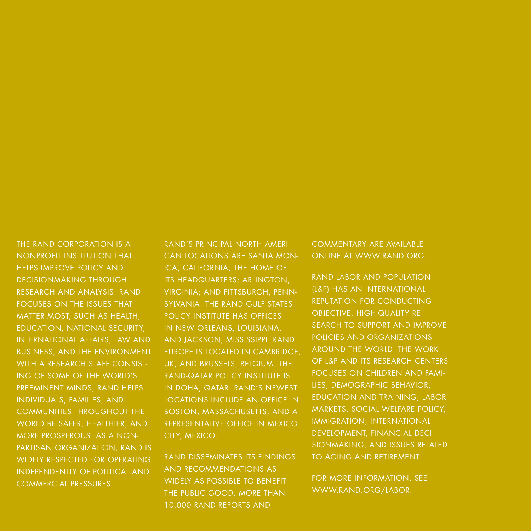The RAND CORPORATION IS A NONPROFIT INSTITUTION THAT HELPS IMPROVE POLICY AND DECISIONMAKING THROUGH RESEARCH AND ANALYSIS. RAND FOCUSES ON THE ISSUES THAT MATTER MOST, SUCH AS HEALTH, EDUCATION, NATIONAL SECURITY, INTERNATIONAL AFFAIRS, LAW AND BUSINESS, and THE ENVIRONMENT. WITH A RESEARCH STAFF CONSIST-ING OF SOME OF THE WORLD'S PREEMINENT MINDS, RAND HELPS INDIVIDUALS, FAMILIES, AND COMMUNITIES THROUGHOUT THE WORLD BE SAFER, HEALTHIER, AND MORE PROSPEROUS. As a non-PARTISAN ORGANIZATION, RAND IS widely respected for operating independently of political and commercial pressures .

RAND'S PRINCIPAL NORTH AMERIcan locations are Santa Mon-ICA, CALIFORNIA, THE HOME OF ITS HEADQUARTERS; ARLINGTON, VIRGINIA: AND PITTSBURGH, PENNsylvania . The rand gulf states policy institute has offices IN NEW ORLEANS, LOUISIANA, and Jackson, MISSISSIPPI. RAND EUROPE IS LOCATED IN CAMBRIDGE. UK, AND BRUSSELS, BELGIUM. THE RAND-Qatar policy institute is IN DOHA, QATAR, RAND'S NEWEST locations include an office in BOSTON, MASSACHUSETTS, AND A representative office in Mexico CITY, MEXICO.

RAND disseminates its findings and recommendations as widely as possible to benefit THE PUBLIC GOOD. MORE THAN 10,000 rand reports and

commentary are available online at www.rand .org.

RAND Labor and Population (L&P) has an international reputation for conducting OBJECTIVE, HIGH-QUALITY REsearch to support and improve policies and organizations around the world . The work of L&P and its research centers FOCUSES ON CHILDREN AND FAMI-LIES, DEMOGRAPHIC BEHAVIOR, **EDUCATION AND TRAINING, LABOR** markets , social welfare policy , IMMIGRATION, INTERNATIONAL DEVELOPMENT, FINANCIAL DECIsionmaking , and issues related to aging and retirement .

FOR MORE INFORMATION, SEE www.RAND.org/labor .